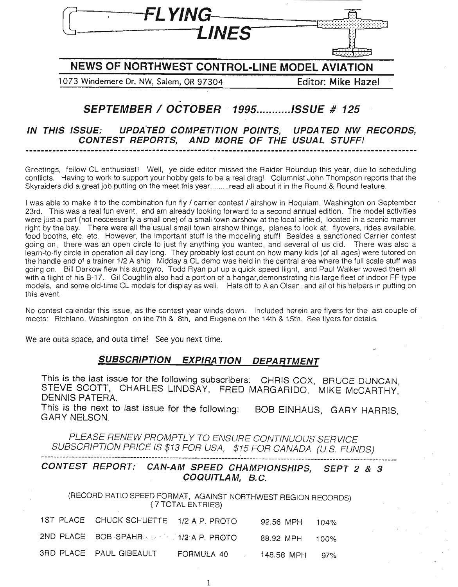

# NEWS OF NORTHWEST CONTROL-LINE MODEL AVIATION

1073 Windemere Dr. NW, Salem, OR 97304 Editor: Mike Hazel

# SEPTEMBER / OCTOBER 1995..........ISSUE # 125

IN THIS ISSUE: UPDATED COMPETITION POINTS, UPDATED NW RECORDS, CONTEST REPORTS, AND MORE OF THE USUAL STUFF!

Greetings, fellow CL enthusiast! Well, ye olde editor missed the Raider Roundup this year, due to scheduling conflicts. Having to work to support your hobby gets to be a real drag! Columnist John Thompson reports that the Skyraiders did a great job putting on the meet this year.........read all about it in the Round & Round feature.

I was able to make it to the combination fun fly / carrier contest / airshow in Hoquiam, Washington on September 23rd. This was a real fun event, and am already looking forward to a second annual edition. The model activities were just a part (not neccessarily a small one) of a small town airshow at the local airfield, located in a scenic manner right by the bay. There were all the usual small town airshow things, planes to look at, flyovers, rides available, food booths, etc. etc. However, the important stuff is the modeling stuff! Besides a sanctioned Carrier contest going on, there was an open circle to just fly anything you wanted, and several of us did. There was also a learn-to-fly circle in operation all day long. They probably lost count on how many kids (of all ages) were tutored on the handle end of a trainer 1/2 A ship. Midday a CL demo was held in the central area where the full scale stuff was going on. Bill Darkow flew his autogyro, Todd Ryan put up a quick speed flight, and Paul Walker wowed them all with a flight of his B-17. Gil Coughlin also had a portion of a hangar,demonstrating his large fleet of indoor FF type models, and some old-time CL models for display as well. Hats off to Alan Olsen, and all of his helpers in putting on this event.

No contest calendar this issue, as the contest year winds down. Included herein are flyers for the last couple of meets: Richland, Washington on the 7th & 8th, and Eugene on the 14th & 15th. See flyers for details.

We are outa space, and outa time! See you next time.

## SUBSCRIPTION EXPIRATION DEPARTMENT

This is the last issue for the following subscribers: CHRIS COX, BRUCE DUNCAN STEVE SCOTT, CHARLES LINDSAY, FRED MARGARIDO, MIKE McCARTHY, DENNIS PATERA.

This is the next to last issue for the following: BOB EINHAUS, GARY HARRIS, GARY NELSON.

PLEASE RENEW PROMPTLY TO ENSURE CONTINUOUS SERVICE SUBSCRIPTION PRICE IS \$13 FOR USA, \$15 FOR CANADA (US. FUNDS)

# .<br>CONTEST REPORT: CAN-AM SPEED CHAMPIONSHIPS, SEPT 2 & 3 COQUITLAM, B.C.

(RECORD RATIO SPEED FORMAT, AGAINST NORTHWEST REGION RECORDS) (7TOTAL ENTRIES)

| 1ST PLACE CHUCK SCHUETTE 1/2 A P. PROTO |            | 92.56 MPH 104% |  |
|-----------------------------------------|------------|----------------|--|
| 2ND PLACE BOB SPAHR 4. 4/2 A P. PROTO   |            | 88.92 MPH 100% |  |
| <b>SRD PLACE PAUL GIBEAULT</b>          | FORMULA 40 | 148.58 MPH 97% |  |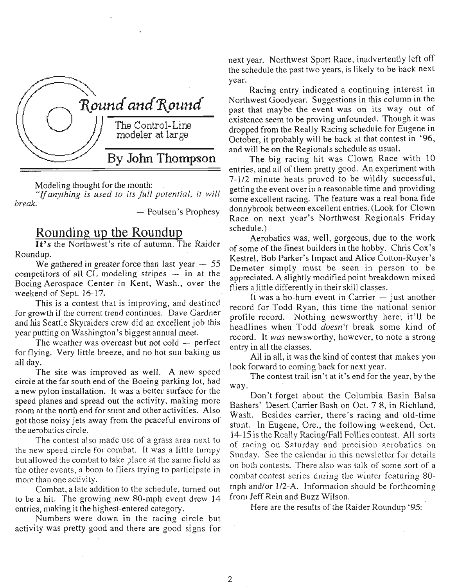

Modeling thought for the month:<br>"If anything is used to its full potential, it will *break.* – Poulsen's Prophesy

# **Rounding up the Roundup**<br>**It's the Northwest's rite of autumn. The Raider**

Roundup. .

We gathered in greater force than last year  $-55$ competitors of all CL modeling stripes  $-$  in at the Boeing Aerospace Center in Kent, Wash., over the weekend of Sept. 16-17.

This is a contest that is improving, and destined for growth if the current trend continues. Dave Gardner and his Seattle Skyraiders crew did an excellent job this year putting on Washington's biggest annual meet.

The weather was overcast but not cold  $-$  perfect for flying. Very little breeze, and no hot sun baking us all day.

The site was improved as well. A new speed circle at the far south end of the Boeing parking lot, had a new pylon installation. It was a better surface for the speed planes and spread out the activity, making more room at the north end for stunt and other activities. Also got those noisy jets away from the peaceful environs of the aerobatics circle.

The contest also made use of a grass area next to the new speed circle for combat. It was a little lumpy but allowed the combat to take place at the same field as the other events, a boon to fliers trying to participate in more than one activity.

Combat, a late addition to the schedule, turned out to be a hit. The growing new SO-mph event drew 14 entries, making it the highest-entered category.

Numbers were down in the racing circle but activity was pretty good and there are good signs for next year. Northwest Sport Race, inadvertently left off the schedule the past two years, is likely to be back next next year. Northwest Sport Race, inadvertently left off<br>the schedule the past two years, is likely to be back next<br>year. Racing entry indicated a continuing interest in

Northwest Goodyear. Suggestions in this column in the past that maybe the event was on its way out of existence seem to be proving unfounded. Though it was dropped from the Really Racing schedule for Eugene in October, it probably will be back at that contest in '96, and will be on the Regionals schedule as usual.

The big racing hit was Clown Race with 10 entries, and all of them pretty good. An experiment with  $7-1/2$  minute heats proved to be wildly successful, getting the event over in a reasonable time and providing some excellent racing. The feature was a real bona fide donnybrook between excellent entries. (Look for Clown Race on next year's Northwest Regionals Friday schedule.)

Aerobatics was, well, gorgeous, due to the work of some of the finest builders in the hobby. Chris Cox's Kestrel, Bob Parker's Impact and Alice Cotton-Royer's Demeter simply must be seen in person to. be appreciated. A slightly modified point breakdown mixed fliers a little differently in their skill classes.

It was a ho-hum event in Carrier  $-$  just another record for Todd Ryan, this time the national senior profile record. Nothing newsworthy here; it'll be headlines when Todd *doesn't* break some kind of record. It *was* newsworthy, however, to note a strong entry in all the classes.

All in all, it was the kind of contest that makes you look forward to coming back for next year.

The contest trail isn't at it's end for the year, by the way.

Don't forget about the Columbia Basin Balsa Bashers' Desert Carrier Bash on Oct. 7-8, in Richland, Wash. Besides carrier, there's racing and old-time stunt. In Eugene, Ore., the following weekend, Oct. 14-15 is the Really Racing/Fall Follies contest. All sorts of racing on Saturday and precision aerobatics on Sunday. See the calendar in this newsletter for details on both contests. There also was talk of some sort of a combat contest series during the winter featuring 80 mph and/or 1/2-A. Information should be forthcoming from Jeff Rein and Buzz Wilson.

Here are the results of the Raider Roundup '95: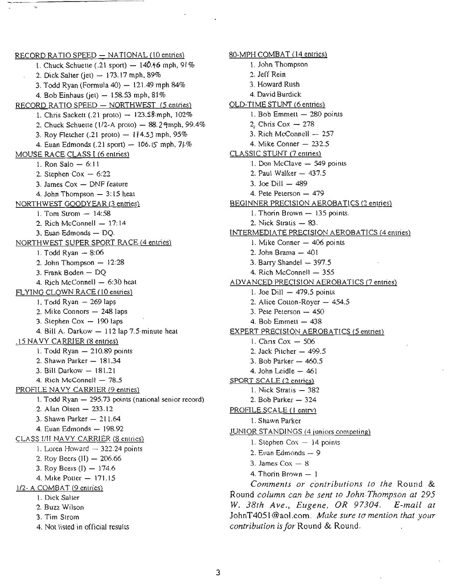$RECORD$  RATIO SPEED  $-$  NATIONAL (10 entries) 1. Chuck Schuette (.21 sport)  $-$  140.46 mph, 91% 2. Dick Salter (jet)  $-173.17$  mph, 89% 3. Todd Ryan (Formula  $40$ )  $- 121.49$  mph  $84\%$ 4. Bob Einhaus (jet)  $-158.53$  mph,  $81\%$ RECORD RATIO SPEED - NORTHWEST (5 entries) 1. Chris Sackett (.21 proto)  $-123.58$ ; mph,  $102\%$ 2. Chuck Schuette ( $1/2$ -A proto) - 88.29mph, 99.4% 3. Roy Fletcher (.21 proto)  $-114.53$  mph, 95% 4. Euan Edmonds (.21 sport)  $-$  106.15 mph, 7 $\frac{1}{6}$ % MOUSE RACE CLASS I (6 entries) 1. Ron Salo  $-6:11$ 2. Stephen  $Cox - 6:22$ 3. James  $Cox - DNF$  feature  $4.$  John Thompson  $-3:15$  heat NORTHWEST GOODYEAR (3 entries) 1. Tom Strom  $- 14:58$ 2. Rich McConnell  $- 17:14$ 3. Euan Edmonds - DO. NORTHWEST SUPER SPORT RACE (4 entries) 1. Todd Ryan  $-8:06$ 2. John Thompson  $-12:28$ 3. Frank Boden - DO 4. Rich McConnell  $-6:30$  heat FLYING CLOWN RACE (10 entries) 1. Todd  $Ryan - 269$  laps  $2.$  Mike Connors  $-248$  laps 3. Stephen  $Cox - 190$  laps 4. Bill A. Darkow  $-112$  lap 7.5 minute heat .15 NA VY CARRIER (8 entries) 1. Todd Ryan  $-210.89$  points 2. Shawn Parker - 181.34  $3.$  Bill Darkow  $-181.21$ 4. Rich McConnell  $-$  78.5 PROFILE NA VY CARRIER (9 entries) 1. Todd Ryan  $-$  295.73 points (national senior record) 2. Alan Olsen  $-233.12$ 3. Shawn Parker  $-211.64$ 4. Euan Edmonds - 198.92 CLASS lIII NA VY CARRIER (8 entries) 1. Loren Howard  $-$  322.24 points 2. Roy Beers  $(11) - 206.66$ 3. Roy Beers  $(I) - 174.6$ 4. Mike Potter - 171.15 1/2- A COMBAT (9 entries) 1. Dick Salter 2. Buzz Wilson 3. Tim Strom 4. Not listed in official results

80-MPH COMBAT (14 entries) 1. John Thompson 2. Jeff Rein 3. Howard Rush 4. David Burdick OLD-TIME STUNT (6 entries) 1. Bob Emmett  $-280$  points 2. Chris Cox  $-278$ 3. Rich McConnell - 257 4. Mike Conner  $-232.5$ CLASSIC STUNT (7 entries) 1. Don McClave - 549 points 2. Paul Walker  $-437.5$ 3. Joe Dill  $-489$ 4. Pete Peterson - 479 BEGINNER PRECISION AEROBATICS (2 entries) 1. Thorin Brown  $-135$  points. 2. Nick Stratis  $-$  83. INTERMEDIATE PRECISION AEROBATICS (4 entries) 1. Mike Conner - 406 points 2. John Brama  $-401$ 3. Barry Shandel  $-397.5$ 4. Rich McConnell - 355 ADVANCED PRECISION AEROBATICS (7 entries) 1. Joe Dill  $-479.5$  points 2. Alice Cotton-Royer  $-454.5$ 3. Pete Peterson  $-450$ 4. Bob Emmett  $-438$ EXPERT PRECISION AEROBATICS (5 entries) 1. Chris  $Cox - 506$ 2. Jack Pitcher  $-499.5$ 3. Bob Parker  $-460.5$ 4. John Leidle  $-461$ SPORT SCALE (2 entries) 1. Nick Stratis  $-382$ 2. Bob Parker  $-324$ PROFILE SCALE (1 entry) 1. Shawn Parker JUNIOR STANDINGS (4 juniors competing) 1. Stephen  $Cox - 14$  points  $2.$  Euan Edmonds  $-9$ 3. James  $Cox - 8$ 4. Thorin Brown  $-1$ *Comments or contributions to the* Round & Round *column can be sent to John Thompson at 295 W. 38th Ave., Eugene, OR 97304. E-mail at* JohnT4051@aol.com. *Atfake sure to mention that your contribution isfor* Round & Round.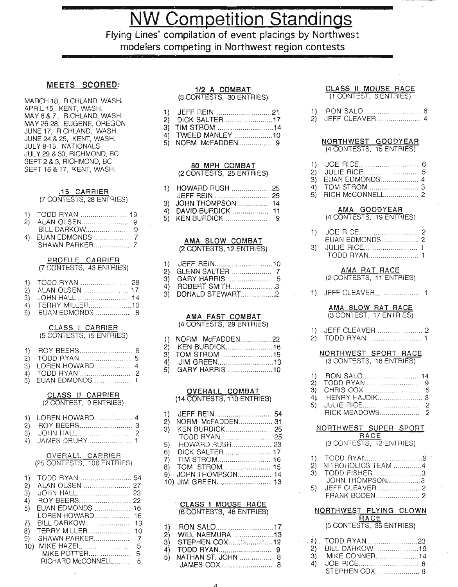**NW Competition Standings** 

Flying Lines' compilation of event placings by Northwest modelers competing in Northwest region contests

#### MEETS SCORED:

MARCH 18, RICHLAND, WASH APRIL 15, KENT, WASH. MAY 6 & 7. RICHLAND, WASH. MAY 26-28, EUGENE, OREGON JUNE 17, RICHLAND, WASH. JUNE 24 & 25, KENT, WASH. JULY 8-15, NATIONALS JULY 29 & 30, RICHMOND, BC SEPT 2 & 3, RICHMOND, BC SEPT 16 & 17, KENT, WASH.

#### .15 CARRIER (7 CONTESTS, 28 ENTRIES)

| 1) TODD RYAN  19 |  |
|------------------|--|
|                  |  |
|                  |  |
|                  |  |
|                  |  |
|                  |  |
|                  |  |

#### PROFILE CARRIER (7 CONTESTS, 43 ENTRIES)

| 1) TODD RYAN  28   |  |
|--------------------|--|
| 2) ALAN OLSEN  17  |  |
|                    |  |
| 4) TERRY MILLER10  |  |
| 5) EUAN EDMONDS  8 |  |

#### CLASS I CARRIER (5 CONTESTS, 15 ENTRIES)

| 3) LOREN HOWARD 4  |  |
|--------------------|--|
|                    |  |
| 5) EUAN EDMONDS  1 |  |

#### CLASS II CARRIER (2 CONTEST, 9 ENTRIES)

| 1)<br>$\mathbf{2}$<br>3)<br>4) | LOREN HOWARD 4<br><b>JAMES DRURY 1</b>                                                     |                                  |
|--------------------------------|--------------------------------------------------------------------------------------------|----------------------------------|
|                                | OVERALL CARRIER                                                                            |                                  |
|                                | (25 CONTESTS, 106 ENTRIES)                                                                 |                                  |
| 1)<br>2)<br>3)<br>4)<br>5)     | TODD RYAN<br>ALAN OLSEN<br><b>JOHN HALL</b> .<br>ROY BEERS<br>EUAN EDMONDS<br>LOREN HOWARD | 54<br>27<br>23<br>22<br>16<br>16 |
| 7)                             | <b>BILL DARKOW</b> .                                                                       | 13                               |
| 8)                             | TERRY MILLER                                                                               | 10                               |
| 9)                             | <b>SHAWN PARKER</b>                                                                        | $\overline{7}$                   |
| 10)                            | MIKE HAZEL                                                                                 | 5                                |
|                                | MIKE POTTER                                                                                | 5                                |
|                                | RICHARD McCONNELL                                                                          | 5                                |

### 1/2 A COMBAT

(3 CONTESTS, 30 ENTRIES)

| 1) JEFF REIN 21   |  |
|-------------------|--|
| 2) DICK SALTER 17 |  |
| 3) TIM STROM 14   |  |

- 4) TWEED MANLEY .........................10
- 5) NORM McFADDEN 9

#### 80 MPH COMBAT (2 CONTESTS, 25 ENTRIES)

| 1) HOWARD RUSH 25    |  |
|----------------------|--|
|                      |  |
| 3) JOHN THOMPSON  14 |  |
| 4) DAVID BURDICK  11 |  |

5) KEN BURDiCK..................... 9

#### AMA SLOW COMBAT (2 CONTESTS, 12 ENTRIES)

| 3) DONALD STEWART2 |                  |
|--------------------|------------------|
|                    | 4) ROBERT SMITH3 |

#### AMA FAST CQMBAT (4 CONTESTS, 29 ENTRIES)

| 1) NORM McFADDEN22 |  |
|--------------------|--|
| 2) KEN BURDICK16   |  |
| 3) TOM STROM15     |  |
| 4) JIM GREEN13     |  |
| 5) GARY HARRIS 10  |  |

#### OVERALL COMBAT (14 CONTESTS, 110 ENTRIES)

| 2)  | NORM McFADDEN 31    |  |
|-----|---------------------|--|
| 3)  |                     |  |
|     |                     |  |
| 5)  |                     |  |
| 6). | DICK SALTER 17      |  |
|     |                     |  |
|     |                     |  |
|     | 9) JOHN THOMPSON 14 |  |
|     |                     |  |

#### . CLASS I MOUSE RACE (6 CONTESTS, 48 ENTRIES)

| 1) RON SALO17                    |  |
|----------------------------------|--|
| 2) WILL NAEMURA13                |  |
| 3) STEPHEN COX12                 |  |
|                                  |  |
| 5)    NATHAN ST. JOHN ………………   8 |  |
|                                  |  |

#### CLASS II MOUSE RACE (1 CONTEST, 6 ENTRIES)

|  | 2) JEFF CLEAVER |  |
|--|-----------------|--|

#### NORTHWEST GOODYEAR (4 CONTESTS, 15 ENTRIES)

| 1)<br>2)<br>3)<br>4)<br>5) | JOE RICE<br>6<br><b>JULIE RICE</b><br>5<br>EUAN EDMONDS<br>4<br>TOM STROM<br>3<br>RICH McCONNELL<br>2                            |
|----------------------------|----------------------------------------------------------------------------------------------------------------------------------|
|                            | <u>AMA GOODYEAR</u><br>(4 CONTESTS, 19 ENTRIES)                                                                                  |
| 1)<br>3)                   | JOE RICE<br>2<br>EUAN EDMONDS<br>2<br>JULIE RICE<br>1<br>TODD RYAN<br>1                                                          |
|                            | <b>AMA RAT RACE</b><br>(2 CONTESTS, 11 ENTRIES)                                                                                  |
| 1).                        | JEFF CLEAVER <b>COMMITMENT</b><br>1                                                                                              |
|                            | AMA SLOW RAT RACE<br>(3 CONTEST, 17 ENTRIES)                                                                                     |
| 1)<br>$\dot{2)}$           | JEFF CLEAVER<br>2<br>TODD RYAN                                                                                                   |
|                            | NORTHWEST SPORT RACE<br>(3 CONTESTS, 18 ENTRIES)                                                                                 |
| 1)<br>2)<br>3)<br>4)<br>5) | RON SALO14<br>TODD RYAN<br>9<br>CHRIS COX<br>5<br><b>HENRY HAJDIK</b><br>3<br><b>JULIE RICE</b><br>2<br><b>RICK MEADOWS</b><br>2 |
|                            | NORTHWEST SUPER SPORT                                                                                                            |
|                            | <u>RACE</u><br>(3 CONTESTS, 12 ENTRIES)                                                                                          |
| 1)<br>2)<br>3)<br>5)       | TODD RYAN9<br>NITROHOLICS TEAM 4<br>TODD FISHER3<br>JOHN THOMPSON3<br>JEFF CLEAVER2                                              |
|                            | NORTHWEST FLYING CLOWN<br>RACE                                                                                                   |
|                            | (5 CONTESTS, 35 ENTRIES)                                                                                                         |
|                            |                                                                                                                                  |

| 2) BILL DARKOW19 |  |
|------------------|--|
| 3) MIKE CONNER14 |  |
|                  |  |
|                  |  |
|                  |  |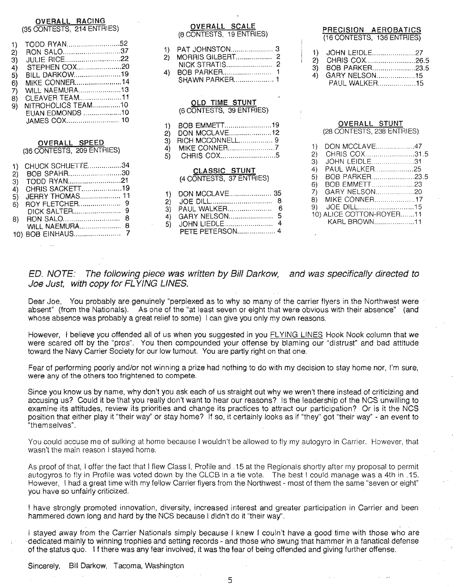#### OVERALL RACING (35 CONTESTS, 214 ENTRIES)

| 1)<br>2)<br>3)<br>4)<br>5)<br>6)<br>7)<br>8)<br>9) | TODD RYAN52<br>RON SALO37<br><b>JULIE RICE22</b><br>STEPHEN COX20<br>BILL DARKOW19<br>MIKE CONNER14<br>WILL NAEMURA13<br>CLEAVER TEAM11<br>EUAN EDMONDS 10<br>OVERALL SPEED |  |
|----------------------------------------------------|-----------------------------------------------------------------------------------------------------------------------------------------------------------------------------|--|
|                                                    | (36 CONTESTS, 209 ENTRIES)                                                                                                                                                  |  |
| 1)<br>2)<br>3)<br>4)<br>5)<br>6)<br>8)             | CHUCK SCHUETTE34<br>BOB SPAHR30<br>TODD RYAN21<br>CHRIS SACKETT19<br>JERRY THOMAS 11<br>8<br>8<br><b>WILL NAEMURA</b>                                                       |  |

10) BOB EINHAUS............... 7

OVERALL SCALE (6 CONTESTS, 19 ENTRIES)

**SHAWN PARKER...................... 1** 

#### OLD TIME STUNT (6 CONTESTS, 39 ENTRIES)

1) BOB EMMETT........................19 2) DON MCCLAVE.......................12 3) RICH MCCONNELL. 9 4) MIKE CONNER 7 5) CHRIS COX 5

#### CLASSIC STUNT (4 CONTESTS, 37 ENTRIES)

| 3) PAUL WALKER 6 |  |
|------------------|--|
| PETE PETERSON 4  |  |

#### PRECISION AEROBATICS (16 CONTESTS, 136 ENTRIES)

| 1) JOHN LEIDLE27  |  |
|-------------------|--|
| 2) CHRIS COX26.5  |  |
| 3) BOB PARKER23.5 |  |
| 4) GARY NELSON15  |  |
| PAUL WALKER15     |  |

#### OVERALL STUNT (28 CONTESTS, 238 ENTRIES)

| 1) | DON MCCLAVE47            |  |
|----|--------------------------|--|
| 2) | CHRIS COX31.5            |  |
| 3) | JOHN LEIDLE31            |  |
| 4) | PAUL WALKER25            |  |
| 5) | BOB PARKER23.5           |  |
| 6) | BOB EMMETT23             |  |
| 7) | GARY NELSON20            |  |
| 8) | <b>MIKE CONNER17</b>     |  |
|    |                          |  |
|    | 10) ALICE COTTON-ROYER11 |  |
|    | KARL BROWN11             |  |
|    |                          |  |

ED. NOTE: The following piece was written by Bill Darkow, and was specifically directed to Joe Just, with copy for FLYING LINES.

Dear Joe, You probably are genuinely "perplexed as to why so many of the carrier flyers in the Northwest were absent" (from the Nationals). As one of the "at least seven or eight that were obvious with their absence" (and whose absence was probably a great relief to some) I can give you only my own reasons.

However, I believe you offended all of us when you suggested in you FLYING LINES Hook Nook column that we were scared off by the "pros". You then compounded your offense by blaming our "distrust" and bad attitude toward the Navy Carrier Society for our low tumout. You are partly right on that one.

Fear of performing poorly and/or not winning a prize had nothing to do with my decision to stay home nor, I'm sure, were any of the others too frightened to compete.

Since you know us by name, why don't you ask each of us straight out why we wren't there instead of criticizing and accusing us? Could it be that you really don't want to hear our reasons? Is the leadership of the NCS unwilling to examine its attitudes, review its priorities and change its practices to attract our participation? Or is it the NCS position that either play it "their way" or stay home? If so. it certainly looks as if "they" got "their way" - an event to "themselves".

You could accuse me of sulking at home because I wouldn't be allowed to fly my autogyro in Carrier. However, that wasn't the main reason I stayed home.

As proof of that, I offer the fact that I flew Class I, Profile and .15 at the Regionals shortly after my proposal to permit autogyros to fly in Profile was voted down by the CLCB in a tie vote. The best I could manage was a 4th in .15. However, I had a great time with my fellow Carrier flyers from the Northwest - most of them the same "seven or eight" you have so unfairly criticized.

I have strongly promoted innovation, diversity, increased interest and greater participation in Carrier and been hammered down long and hard by the NCS because I didn't do it "their way".

I stayed away from the Carrier Nationals simply because I knew I couln't have a good time with those who are -dedicated mainly to winning trophies and setting records - and those who swung that hammer in a fanatical defense of the status quo. I f there was any fear involved, it was the fear of being offended and giving further offense.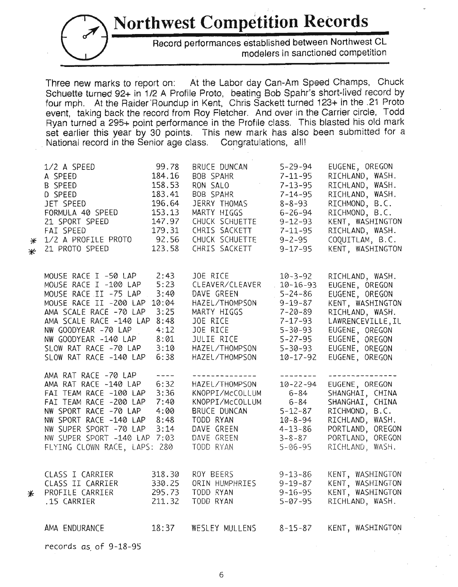**Northwest Competition Records**



Record performances established between Northwest CL modelers in sanctioned competition

Three new marks to report on: At the Labor day Can-Am Speed Champs, Chuck Schuette turned 92+ in 1/2 A Profile Proto, beating Bob Spahr's short-lived record by four mph. At the Raider'Roundup in Kent, Chris Sackett turned 123+ in the .21 Proto event, taking back the record from Roy Fletcher. And over in the Carrier circle, Todd Ryan turned a 295+ point performance in the Profile class. This blasted his old mark set earlier this year by 30 points. This new mark has also been submitted for a National record in the Senior age class. Congratulations, all!

| ⋇<br>⋇   | 1/2 A SPEED<br>A SPEED<br>B SPEED<br>D SPEED<br>JET SPEED<br>FORMULA 40 SPEED<br>21 SPORT SPEED<br>FAI SPEED<br>1/2 A PROFILE PROTO<br>21 PROTO SPEED                                                                                                   | 99.78<br>184.16<br>158.53<br>183.41<br>196.64<br>153.13<br>147.97<br>179.31<br>92.56<br>123.58 | BRUCE DUNCAN<br>BOB SPAHR<br>RON SALO<br>BOB SPAHR<br>JERRY THOMAS<br>MARTY HIGGS<br>CHUCK SCHUETTE<br>CHRIS SACKETT<br>CHUCK SCHUETTE<br>CHRIS SACKETT | $5 - 29 - 94$<br>$7 - 11 - 95$<br>$7 - 13 - 95$<br>$7 - 14 - 95$<br>$8 - 8 - 93$<br>$6 - 26 - 94$<br>$9 - 12 - 93$<br>$7 - 11 - 95$<br>$9 - 2 - 95$<br>$9 - 17 - 95$     | EUGENE, OREGON<br>RICHLAND, WASH.<br>RICHLAND, WASH.<br>RICHLAND, WASH.<br>RICHMOND, B.C.<br>RICHMOND, B.C.<br>KENT, WASHINGTON<br>RICHLAND, WASH.<br>COQUITLAM, B.C.<br>KENT, WASHINGTON |
|----------|---------------------------------------------------------------------------------------------------------------------------------------------------------------------------------------------------------------------------------------------------------|------------------------------------------------------------------------------------------------|---------------------------------------------------------------------------------------------------------------------------------------------------------|--------------------------------------------------------------------------------------------------------------------------------------------------------------------------|-------------------------------------------------------------------------------------------------------------------------------------------------------------------------------------------|
|          | MOUSE RACE I -50 LAP<br>MOUSE RACE I -100 LAP<br>MOUSE RACE II -75 LAP<br>MOUSE RACE II -200 LAP<br>AMA SCALE RACE -70 LAP<br>AMA SCALE RACE -140 LAP<br>NW GOODYEAR -70 LAP<br>NW GOODYEAR -140 LAP<br>SLOW RAT RACE -70 LAP<br>SLOW RAT RACE -140 LAP | 2:43<br>5:23<br>3:40<br>10:04<br>3:25<br>8:48<br>4:12<br>8:01<br>3:10<br>6:38                  | JOE RICE<br>CLEAVER/CLEAVER<br>DAVE GREEN<br>HAZEL/THOMPSON<br>MARTY HIGGS<br>JOE RICE<br>JOE RICE<br>JULIE RICE<br>HAZEL/THOMPSON<br>HAZEL/THOMPSON    | $10 - 3 - 92$<br>$10 - 16 - 93$<br>$5 - 24 - 86$<br>$9 - 19 - 87$<br>$7 - 20 - 89$<br>$7 - 17 - 93$<br>$5 - 30 - 93$<br>$5 - 27 - 95$<br>$5 - 30 - 93$<br>$10 - 17 - 92$ | RICHLAND, WASH.<br>EUGENE, OREGON<br>EUGENE, OREGON<br>KENT, WASHINGTON<br>RICHLAND, WASH.<br>LAWRENCEVILLE, IL<br>EUGENE, OREGON<br>EUGENE, OREGON<br>EUGENE, OREGON<br>EUGENE, OREGON   |
|          | AMA RAT RACE -70 LAP<br>AMA RAT RACE -140 LAP<br>FAI TEAM RACE -100 LAP<br>FAI TEAM RACE -200 LAP<br>NW SPORT RACE -70 LAP<br>NW SPORT RACE -140 LAP<br>NW SUPER SPORT -70 LAP<br>NW SUPER SPORT -140 LAP 7:03<br>FLYING CLOWN RACE, LAPS: 280          | $- - - -$<br>6:32<br>3:36<br>7:40<br>4:00<br>8:48<br>3:14                                      | --------------<br>HAZEL/THOMPSON<br>KNOPPI/McCOLLUM<br>KNOPPI/McCOLLUM<br>BRUCE DUNCAN<br>TODD RYAN<br>DAVE GREEN<br>DAVE GREEN<br>TODD RYAN            | $- - - - - - - - -$<br>$10 - 22 - 94$<br>$6 - 84$<br>$6 - 84$<br>$5 - 12 - 87$<br>$10 - 8 - 94$<br>$4 - 13 - 86$<br>$3 - 8 - 87$<br>$5 - 06 - 95$                        | ---------------<br>EUGENE, OREGON<br>SHANGHAI, CHINA<br>SHANGHAI, CHINA<br>RICHMOND, B.C.<br>RICHLAND, WASH.<br>PORTLAND, OREGON<br>PORTLAND, OREGON<br>RICHLAND, WASH.                   |
| <b>*</b> | CLASS I CARRIER<br>CLASS II CARRIER<br>PROFILE CARRIER<br>.15 CARRIER                                                                                                                                                                                   | 318.30<br>330.25<br>295.73<br>211.32                                                           | ROY BEERS<br>ORIN HUMPHRIES<br>TODD RYAN<br>TODD RYAN                                                                                                   | $9 - 13 - 86$<br>$9 - 19 - 87$<br>$9 - 16 - 95$<br>$5 - 07 - 95$                                                                                                         | KENT, WASHINGTON<br>KENT, WASHINGTON<br>KENT, WASHINGTON<br>RICHLAND, WASH.                                                                                                               |
|          | AMA ENDURANCE                                                                                                                                                                                                                                           | 18:37                                                                                          | WESLEY MULLENS                                                                                                                                          | $8 - 15 - 87$                                                                                                                                                            | KENT, WASHINGTON                                                                                                                                                                          |

records as. of 9-18-95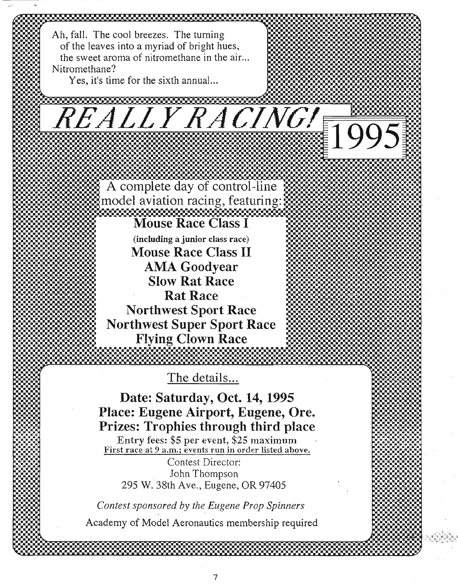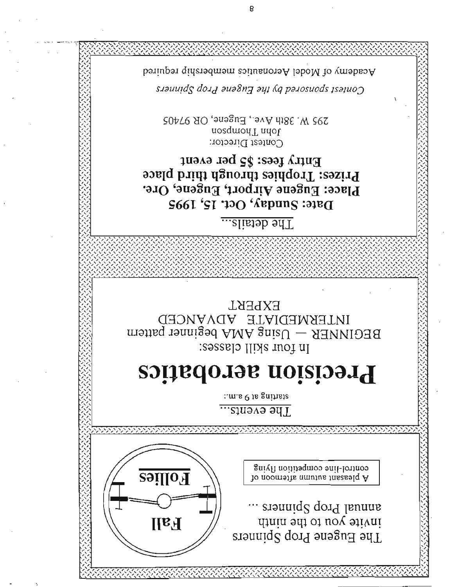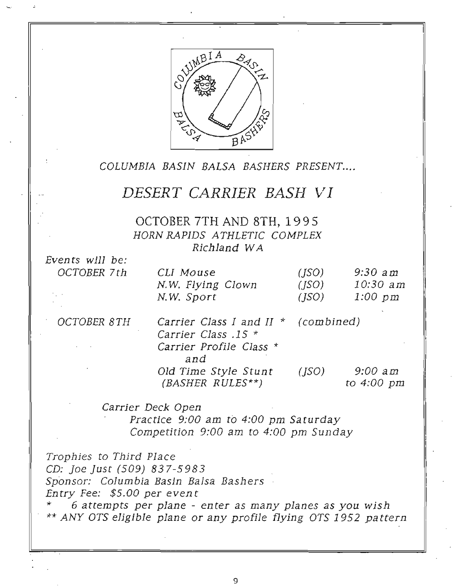

# COLUMBIA BASIN BALSA BASHERS PRESENT....

# $DESERT$  *CARRIER BASH VI*

OCTOBER 7TH AND 8TH, 1995 HORN RAPIDS ATHLETIC COMPLEX Richland WA

Even ts will be: OCTOBER 7th

| CLI Mouse         | (ISO) | $9:30$ am |
|-------------------|-------|-----------|
| N.W. Flying Clown | (ISO) | 10:30 am  |
| N.W. Sport        | (ISO) | 1:00 pm   |

OCTOBER 8TH

| $9:00$ am  |
|------------|
| to 4:00 pm |
|            |

Carrier Deck Open Practice 9:00 am to 4:00 pm Saturday Competition 9:00 am to 4:00 pm Sunday

Trophies to Third Place CD: joe just (509) 837-5983 .Sponsor: Columbia Basin Balsa Bashers .. Entry Fee: \$5.00 per even t

6 attempts per plane - enter as many planes as you wish \*\* ANY OTS eligible plane or any profile flying OTS 1952 pattern